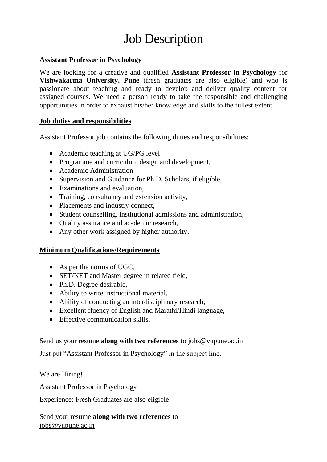# **Job Description**

#### **Assistant Professor in Psychology**

We are looking for a creative and qualified **Assistant Professor in Psychology** for **Vishwakarma University, Pune** (fresh graduates are also eligible) and who is passionate about teaching and ready to develop and deliver quality content for assigned courses. We need a person ready to take the responsible and challenging opportunities in order to exhaust his/her knowledge and skills to the fullest extent.

### **Job duties and responsibilities**

Assistant Professor job contains the following duties and responsibilities:

- Academic teaching at UG/PG level
- Programme and curriculum design and development,
- Academic Administration
- Supervision and Guidance for Ph.D. Scholars, if eligible,
- Examinations and evaluation,
- Training, consultancy and extension activity,
- Placements and industry connect,
- Student counselling, institutional admissions and administration,
- Quality assurance and academic research,
- Any other work assigned by higher authority.

## **Minimum Qualifications/Requirements**

- As per the norms of UGC,
- SET/NET and Master degree in related field,
- Ph.D. Degree desirable,
- Ability to write instructional material,
- Ability of conducting an interdisciplinary research,
- Excellent fluency of English and Marathi/Hindi language,
- Effective communication skills.

## Send us your resume **along with two references** to [jobs@vupune.ac.in](mailto:jobs@vupune.ac.in)

Just put "Assistant Professor in Psychology" in the subject line.

We are Hiring!

Assistant Professor in Psychology

Experience: Fresh Graduates are also eligible

Send your resume **along with two references** to [jobs@vupune.ac.in](mailto:jobs@vupune.ac.in)